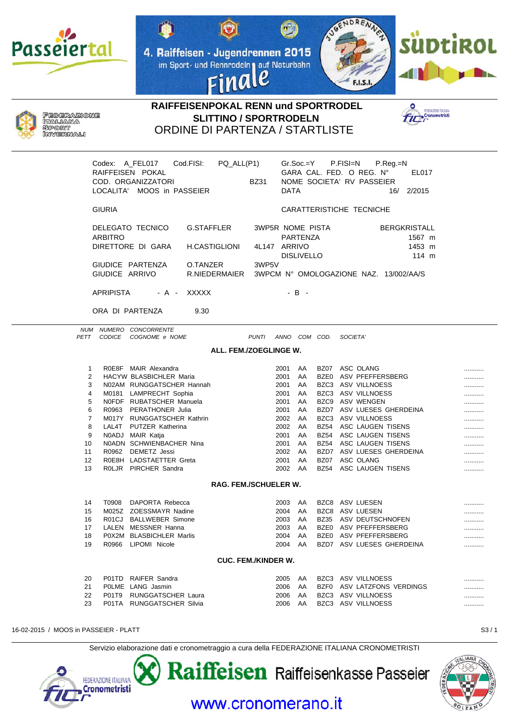







## RAIFFEISENPOKAL RENN und SPORTRODEL **SLITTINO / SPORTRODELN ORDINE DI PARTENZA / STARTLISTE**



|                              |                                  | Codex: A_FEL017<br>RAIFFEISEN POKAL<br>COD. ORGANIZZATORI<br>LOCALITA' MOOS in PASSEIER | Cod.FISI:                                                | $PQ$ _ALL $(P1)$       | <b>BZ31</b>                                      | <b>DATA</b> | Gr.Soc.=Y                            |             | P.FISI=N<br>$P_{\cdot}$ Reg $_{\cdot}$ =N<br>GARA CAL. FED. O REG. N°<br>EL017<br>NOME SOCIETA' RV PASSEIER<br>16/ 2/2015 |   |
|------------------------------|----------------------------------|-----------------------------------------------------------------------------------------|----------------------------------------------------------|------------------------|--------------------------------------------------|-------------|--------------------------------------|-------------|---------------------------------------------------------------------------------------------------------------------------|---|
|                              | <b>GIURIA</b>                    |                                                                                         |                                                          |                        |                                                  |             |                                      |             | CARATTERISTICHE TECNICHE                                                                                                  |   |
|                              | <b>ARBITRO</b><br>GIUDICE ARRIVO | DELEGATO TECNICO<br>DIRETTORE DI GARA<br>GIUDICE PARTENZA                               | G.STAFFLER<br>H.CASTIGLIONI<br>O.TANZER<br>R.NIEDERMAIER |                        | <b>3WP5R NOME PISTA</b><br>4L147 ARRIVO<br>3WP5V |             | <b>PARTENZA</b><br><b>DISLIVELLO</b> |             | <b>BERGKRISTALL</b><br>1567 m<br>1453 m<br>114 m<br>3WPCM Nº OMOLOGAZIONE NAZ. 13/002/AA/S                                |   |
|                              |                                  |                                                                                         |                                                          |                        |                                                  |             |                                      |             |                                                                                                                           |   |
|                              | <b>APRIPISTA</b>                 | - A -                                                                                   | <b>XXXXX</b>                                             |                        |                                                  |             | $-B -$                               |             |                                                                                                                           |   |
|                              | ORA DI PARTENZA                  |                                                                                         | 9.30                                                     |                        |                                                  |             |                                      |             |                                                                                                                           |   |
|                              |                                  | NUM NUMERO CONCORRENTE                                                                  |                                                          |                        |                                                  |             |                                      |             |                                                                                                                           |   |
| PETT                         | <b>CODICE</b>                    | COGNOME e NOME                                                                          |                                                          |                        | PUNTI ANNO COM COD.                              |             |                                      |             | SOCIETA'                                                                                                                  |   |
|                              |                                  |                                                                                         |                                                          | ALL. FEM./ZOEGLINGE W. |                                                  |             |                                      |             |                                                                                                                           |   |
| $\mathbf{1}$                 |                                  | ROE8F MAIR Alexandra                                                                    |                                                          |                        |                                                  | 2001        | AA                                   |             | BZ07 ASC OLANG                                                                                                            | . |
|                              | $\overline{2}$                   | <b>HACYW BLASBICHLER Maria</b>                                                          |                                                          |                        |                                                  | 2001        | AA                                   |             | BZE0 ASV PFEFFERSBERG                                                                                                     | . |
|                              | 3                                | N02AM RUNGGATSCHER Hannah                                                               |                                                          |                        |                                                  | 2001        | AA                                   |             | BZC3 ASV VILLNOESS                                                                                                        |   |
|                              | 4                                | M0181 LAMPRECHT Sophia                                                                  |                                                          |                        |                                                  | 2001        | AA                                   |             | BZC3 ASV VILLNOESS                                                                                                        |   |
| 5                            |                                  | NOFDF RUBATSCHER Manuela                                                                |                                                          |                        |                                                  | 2001        | AA                                   |             | BZC9 ASV WENGEN                                                                                                           | . |
| 6                            |                                  | R0963 PERATHONER Julia                                                                  |                                                          |                        |                                                  | 2001        | AA                                   |             | BZD7 ASV LUESES GHERDEINA                                                                                                 | . |
|                              | $\overline{7}$                   | M017Y RUNGGATSCHER Kathrin                                                              |                                                          |                        |                                                  | 2002        | AA                                   |             | BZC3 ASV VILLNOESS                                                                                                        | . |
| 8                            |                                  | LAL4T PUTZER Katherina                                                                  |                                                          |                        |                                                  | 2002        | AA                                   | <b>BZ54</b> | ASC LAUGEN TISENS                                                                                                         | . |
| 9                            |                                  | N0ADJ MAIR Katja                                                                        |                                                          |                        |                                                  | 2001        | AA                                   |             | BZ54 ASC LAUGEN TISENS                                                                                                    | . |
| 10                           |                                  | N0ADN SCHWIENBACHER Nina                                                                |                                                          |                        |                                                  | 2001        | AA                                   |             | BZ54 ASC LAUGEN TISENS                                                                                                    | . |
| 11                           |                                  | R0962 DEMETZ Jessi                                                                      |                                                          |                        |                                                  | 2002        | AA                                   |             | BZD7 ASV LUESES GHERDEINA                                                                                                 | . |
| 12                           |                                  | R0E8H LADSTAETTER Greta                                                                 |                                                          |                        |                                                  | 2001        | AA                                   |             | BZ07 ASC OLANG                                                                                                            | . |
| 13                           |                                  | ROLJR PIRCHER Sandra                                                                    |                                                          |                        |                                                  | 2002        | AA                                   | BZ54        | ASC LAUGEN TISENS                                                                                                         |   |
| <b>RAG. FEM./SCHUELER W.</b> |                                  |                                                                                         |                                                          |                        |                                                  |             |                                      |             |                                                                                                                           |   |
| 14                           | T0908                            | DAPORTA Rebecca                                                                         |                                                          |                        |                                                  | 2003        | AA                                   |             | BZC8 ASV LUESEN                                                                                                           |   |
| 15                           |                                  | M025Z ZOESSMAYR Nadine                                                                  |                                                          |                        |                                                  | 2004        | AA                                   |             | BZC8 ASV LUESEN                                                                                                           |   |
| 16                           |                                  | R01CJ BALLWEBER Simone                                                                  |                                                          |                        |                                                  | 2003        | AA                                   | <b>BZ35</b> | ASV DEUTSCHNOFEN                                                                                                          |   |
| 17                           |                                  | LALEN MESSNER Hanna                                                                     |                                                          |                        |                                                  | 2003        | AA                                   |             | BZE0 ASV PFEFFERSBERG                                                                                                     |   |
| 18                           |                                  | P0X2M BLASBICHLER Marlis                                                                |                                                          |                        |                                                  | 2004        | AA                                   |             | BZE0 ASV PFEFFERSBERG                                                                                                     |   |
| 19                           | R0966                            | LIPOMI Nicole                                                                           |                                                          |                        |                                                  | 2004        | AA                                   |             | BZD7 ASV LUESES GHERDEINA                                                                                                 |   |
| <b>CUC. FEM./KINDER W.</b>   |                                  |                                                                                         |                                                          |                        |                                                  |             |                                      |             |                                                                                                                           |   |

| 20  | P01TD RAIFER Sandra       |      |    | 2005 AA BZC3 ASV VILLNOESS         |  |
|-----|---------------------------|------|----|------------------------------------|--|
| 21  | POLME LANG Jasmin         |      |    | 2006 AA BZF0 ASV LATZFONS VERDINGS |  |
| 22  | P01T9 RUNGGATSCHER Laura  |      |    | 2006 AA BZC3 ASV VILLNOESS         |  |
| -23 | P01TA RUNGGATSCHER Silvia | 2006 | AA | BZC3 ASV VILLNOESS                 |  |

Raiffeisen Raiffeisenkasse Passeier

16-02-2015 / MOOS in PASSEIER - PLATT

FEDERAZIONE ITALIANA **Cronometristi** 

Servizio elaborazione dati e cronometraggio a cura della FEDERAZIONE ITALIANA CRONOMETRISTI



www.cronomerano.it